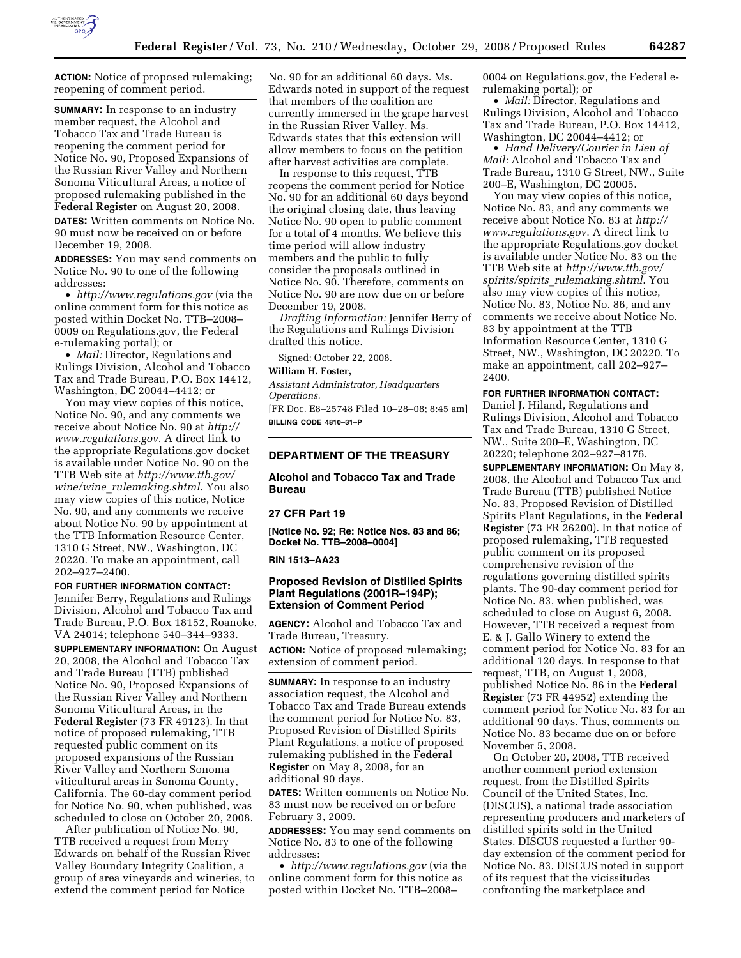

**ACTION:** Notice of proposed rulemaking; reopening of comment period.

**SUMMARY:** In response to an industry member request, the Alcohol and Tobacco Tax and Trade Bureau is reopening the comment period for Notice No. 90, Proposed Expansions of the Russian River Valley and Northern Sonoma Viticultural Areas, a notice of proposed rulemaking published in the **Federal Register** on August 20, 2008. **DATES:** Written comments on Notice No. 90 must now be received on or before December 19, 2008.

**ADDRESSES:** You may send comments on Notice No. 90 to one of the following addresses:

• *http://www.regulations.gov* (via the online comment form for this notice as posted within Docket No. TTB–2008– 0009 on Regulations.gov, the Federal e-rulemaking portal); or

• *Mail:* Director, Regulations and Rulings Division, Alcohol and Tobacco Tax and Trade Bureau, P.O. Box 14412, Washington, DC 20044–4412; or

You may view copies of this notice, Notice No. 90, and any comments we receive about Notice No. 90 at *http:// www.regulations.gov*. A direct link to the appropriate Regulations.gov docket is available under Notice No. 90 on the TTB Web site at *http://www.ttb.gov/ wine/wine*\_*rulemaking.shtml*. You also may view copies of this notice, Notice No. 90, and any comments we receive about Notice No. 90 by appointment at the TTB Information Resource Center, 1310 G Street, NW., Washington, DC 20220. To make an appointment, call 202–927–2400.

**FOR FURTHER INFORMATION CONTACT:**  Jennifer Berry, Regulations and Rulings Division, Alcohol and Tobacco Tax and Trade Bureau, P.O. Box 18152, Roanoke, VA 24014; telephone 540–344–9333.

**SUPPLEMENTARY INFORMATION:** On August 20, 2008, the Alcohol and Tobacco Tax and Trade Bureau (TTB) published Notice No. 90, Proposed Expansions of the Russian River Valley and Northern Sonoma Viticultural Areas, in the **Federal Register** (73 FR 49123). In that notice of proposed rulemaking, TTB requested public comment on its proposed expansions of the Russian River Valley and Northern Sonoma viticultural areas in Sonoma County, California. The 60-day comment period for Notice No. 90, when published, was scheduled to close on October 20, 2008.

After publication of Notice No. 90, TTB received a request from Merry Edwards on behalf of the Russian River Valley Boundary Integrity Coalition, a group of area vineyards and wineries, to extend the comment period for Notice

No. 90 for an additional 60 days. Ms. Edwards noted in support of the request that members of the coalition are currently immersed in the grape harvest in the Russian River Valley. Ms. Edwards states that this extension will allow members to focus on the petition after harvest activities are complete.

In response to this request, TTB reopens the comment period for Notice No. 90 for an additional 60 days beyond the original closing date, thus leaving Notice No. 90 open to public comment for a total of 4 months. We believe this time period will allow industry members and the public to fully consider the proposals outlined in Notice No. 90. Therefore, comments on Notice No. 90 are now due on or before December 19, 2008.

*Drafting Information:* Jennifer Berry of the Regulations and Rulings Division drafted this notice.

Signed: October 22, 2008.

# **William H. Foster,**

*Assistant Administrator, Headquarters Operations.* 

[FR Doc. E8–25748 Filed 10–28–08; 8:45 am] **BILLING CODE 4810–31–P** 

## **DEPARTMENT OF THE TREASURY**

**Alcohol and Tobacco Tax and Trade Bureau** 

### **27 CFR Part 19**

**[Notice No. 92; Re: Notice Nos. 83 and 86; Docket No. TTB–2008–0004]** 

**RIN 1513–AA23** 

# **Proposed Revision of Distilled Spirits Plant Regulations (2001R–194P); Extension of Comment Period**

**AGENCY:** Alcohol and Tobacco Tax and Trade Bureau, Treasury. **ACTION:** Notice of proposed rulemaking; extension of comment period.

**SUMMARY:** In response to an industry association request, the Alcohol and Tobacco Tax and Trade Bureau extends the comment period for Notice No. 83, Proposed Revision of Distilled Spirits Plant Regulations, a notice of proposed rulemaking published in the **Federal Register** on May 8, 2008, for an additional 90 days.

**DATES:** Written comments on Notice No. 83 must now be received on or before February 3, 2009.

**ADDRESSES:** You may send comments on Notice No. 83 to one of the following addresses:

• *http://www.regulations.gov* (via the online comment form for this notice as posted within Docket No. TTB–2008–

0004 on Regulations.gov, the Federal erulemaking portal); or

• *Mail:* Director, Regulations and Rulings Division, Alcohol and Tobacco Tax and Trade Bureau, P.O. Box 14412, Washington, DC 20044–4412; or

• *Hand Delivery/Courier in Lieu of Mail:* Alcohol and Tobacco Tax and Trade Bureau, 1310 G Street, NW., Suite 200–E, Washington, DC 20005.

You may view copies of this notice, Notice No. 83, and any comments we receive about Notice No. 83 at *http:// www.regulations.gov*. A direct link to the appropriate Regulations.gov docket is available under Notice No. 83 on the TTB Web site at *http://www.ttb.gov/ spirits/spirits*\_*rulemaking.shtml*. You also may view copies of this notice, Notice No. 83, Notice No. 86, and any comments we receive about Notice No. 83 by appointment at the TTB Information Resource Center, 1310 G Street, NW., Washington, DC 20220. To make an appointment, call 202–927– 2400.

**FOR FURTHER INFORMATION CONTACT:**  Daniel J. Hiland, Regulations and Rulings Division, Alcohol and Tobacco Tax and Trade Bureau, 1310 G Street, NW., Suite 200–E, Washington, DC 20220; telephone 202–927–8176.

**SUPPLEMENTARY INFORMATION:** On May 8, 2008, the Alcohol and Tobacco Tax and Trade Bureau (TTB) published Notice No. 83, Proposed Revision of Distilled Spirits Plant Regulations, in the **Federal Register** (73 FR 26200). In that notice of proposed rulemaking, TTB requested public comment on its proposed comprehensive revision of the regulations governing distilled spirits plants. The 90-day comment period for Notice No. 83, when published, was scheduled to close on August 6, 2008. However, TTB received a request from E. & J. Gallo Winery to extend the comment period for Notice No. 83 for an additional 120 days. In response to that request, TTB, on August 1, 2008, published Notice No. 86 in the **Federal Register** (73 FR 44952) extending the comment period for Notice No. 83 for an additional 90 days. Thus, comments on Notice No. 83 became due on or before November 5, 2008.

On October 20, 2008, TTB received another comment period extension request, from the Distilled Spirits Council of the United States, Inc. (DISCUS), a national trade association representing producers and marketers of distilled spirits sold in the United States. DISCUS requested a further 90 day extension of the comment period for Notice No. 83. DISCUS noted in support of its request that the vicissitudes confronting the marketplace and